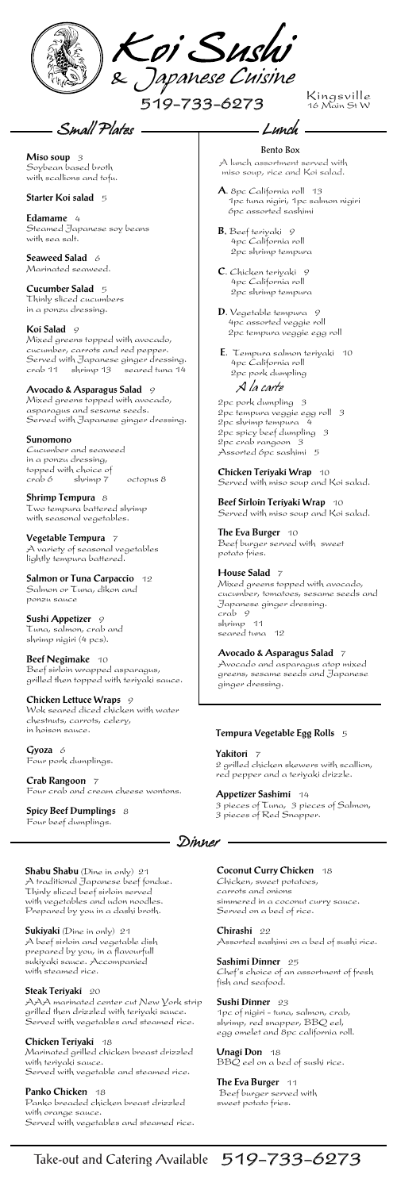**Seaweed Salad** 6 Marinated seaweed.

Cucumber and seaweed in a ponzu dressing, topped with choice of octopus 8

**Sushi Appetizer** 9 Tuna, salmon, crab and shrimp nigiri (4 pcs).

**Beef Negimake** 10 Beef sirloin wrapped asparagus, grilled then topped with teriyaki sauce.

Gyoza 6 Four pork dumplings.

**Spicy Beef Dumplings** 8 Four beef dumplings.

2pc pork dumpling 3 2pc tempura veggie egg roll 3 2pc shrimp tempura 4 2pc spicy beef dumpling 3 2pc crab rangoon 3 Assorted 6pc sashimi 5 **Lunch**<br>Bento Box<br>Bento Box<br>ssortment<br>, rice and<br>lifornia ro<br>nigiri, 1p<br>interial sashing<br>interpretial lifornia ro<br>,<br>teripaki lifornia ro<br>ble tempura<br>ble tempura<br>whet degge<br>and salmon<br>sk dumpling<br>ca veggie<br>tempura<br>sk dumpli

**The Eva Burger** 10 Beef burger served with sweet potato fries.

**Miso soup** 3 Soybean based broth with scallions and tofu.

#### **Starter Koi salad** 5

**Edamame** 4 Steamed Japanese soy beans with sea salt.

**Cucumber Salad** 5 Thinly sliced cucumbers in a ponzu dressing.

### **Koi Salad** 9

Mixed greens topped with avocado, cucumber, carrots and red pepper. Served with Japanese ginger dressing. crab 11 shrimp 13 seared tuna 14

#### **Avocado & Asparagus Salad** 9

Mixed greens topped with avocado, asparagus and sesame seeds. Served with Japanese ginger dressing.

#### **Sunomono**

**Shrimp Tempura** 8 Two tempura battered shrimp with seasonal vegetables.

**Vegetable Tempura** 7 A variety of seasonal vegetables lightly tempura battered.

# **Salmon or Tuna Carpaccio** 12

**The Eva Burger** 11 Beef burger served with sweet potato fries.

# Take-out and Catering Available 519-733-6273

Salmon or Tuna, dikon and ponzu sauce

**Chicken Lettuce Wraps** 9 Wok seared diced chicken with water chestnuts, carrots, celery, in hoison sauce.

**Crab Rangoon** 7 Four crab and cream cheese wontons.

*Small Plates*

**E**. Tempura salmon teriyaki 10 4pc California roll 2pc pork dumpling

**Chicken Teriyaki Wrap** 10 Served with miso soup and Koi salad.

**Beef Sirloin Teriyaki Wrap** 10 Served with miso soup and Koi salad.

- A lunch assortment served with miso soup, rice and Koi salad.
- **A**. 8pc California roll13 1pc tuna nigiri, 1pc salmon nigiri 6pc assorted sashimi
- **B**. Beef teriyaki 9 4pc California roll 2pc shrimp tempura
- **C**. Chicken teriyaki 9 4pc California roll 2pc shrimp tempura
- **D**. Vegetable tempura 9 4pc assorted veggie roll 2pc tempura veggie egg roll

#### **House Salad** 7

Mixed greens topped with avocado, cucumber, tomatoes, sesame seeds and Japanese ginger dressing. crab 9 shrimp 11 seared tuna 12

#### **Avocado & Asparagus Salad** 7

Avocado and asparagus atop mixed greens, sesame seeds and Japanese ginger dressing.

#### Bento Box

- Lunch

## *A la carte*



Kingsville <sub>K</sub>

*Dinner*

**Shabu Shabu** (Dine in only)21 A traditional Japanese beef fondue. Thinly sliced beef sirloin served with vegetables and udon noodles. Prepared by you in a dashi broth.

**Sukiyaki** (Dine in only) 21 A beef sirloin and vegetable dish prepared by you, in a flavourfull sukiyaki sauce. Accompanied with steamed rice.

#### **Steak Teriyaki** 20

AAA marinated center cut New York strip grilled then drizzled with teriyaki sauce. Served with vegetables and steamed rice.

#### **Chicken Teriyaki** 18

Marinated grilled chicken breast drizzled with teriyaki sauce. Served with vegetable and steamed rice.

#### **Panko Chicken** 18

Panko breaded chicken breast drizzled with orange sauce. Served with vegetables and steamed rice.

#### **Tempura Vegetable Egg Rolls** 5

**Yakitori** 7

2 grilled chicken skewers with scallion, red pepper and a teriyaki drizzle.

#### **Appetizer Sashimi** 14

3 pieces of Tuna, 3 pieces of Salmon, 3 pieces of Red Snapper.

#### **Coconut Curry Chicken** 18

Chicken, sweet potatoes, carrots and onions simmered in a coconut curry sauce. Served on a bed of rice.

**Chirashi** 22 Assorted sashimi on a bed of sushi rice.

**Sashimi Dinner** 25 Chef's choice of an assortment of fresh fish and seafood.

**Sushi Dinner** 23 1pc of nigiri - tuna, salmon, crab, shrimp, red snapper, BBQ eel, egg omelet and 8pc california roll.

**Unagi Don** 18 BBQ eel on a bed of sushi rice.